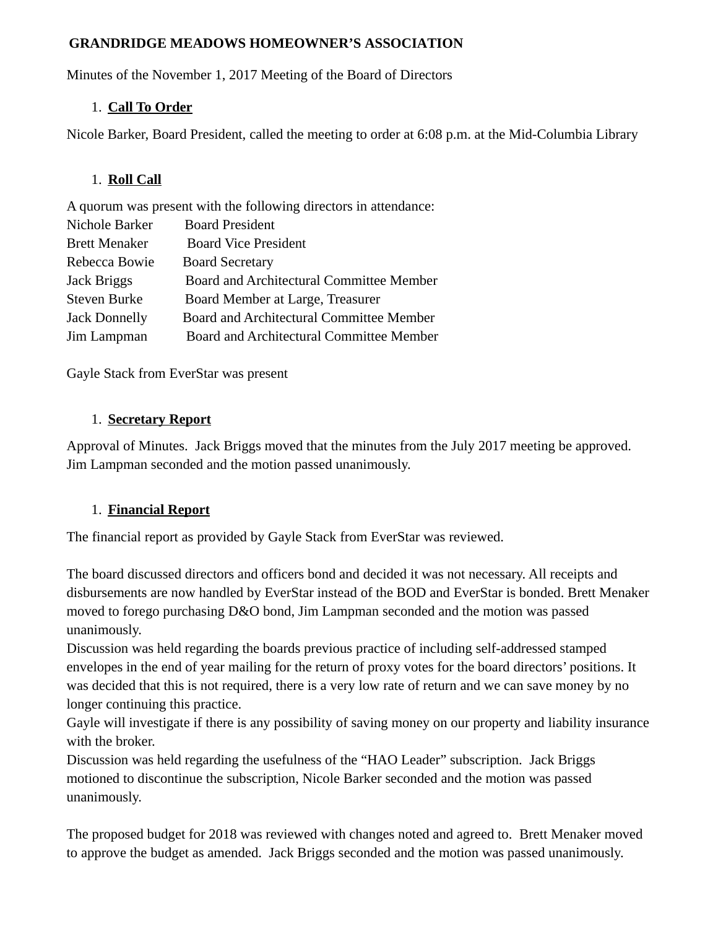### **GRANDRIDGE MEADOWS HOMEOWNER'S ASSOCIATION**

Minutes of the November 1, 2017 Meeting of the Board of Directors

### 1. **Call To Order**

Nicole Barker, Board President, called the meeting to order at 6:08 p.m. at the Mid-Columbia Library

# 1. **Roll Call**

A quorum was present with the following directors in attendance:

| <b>Board President</b>                   |
|------------------------------------------|
| <b>Board Vice President</b>              |
| <b>Board Secretary</b>                   |
| Board and Architectural Committee Member |
| Board Member at Large, Treasurer         |
| Board and Architectural Committee Member |
| Board and Architectural Committee Member |
|                                          |

Gayle Stack from EverStar was present

# 1. **Secretary Report**

Approval of Minutes. Jack Briggs moved that the minutes from the July 2017 meeting be approved. Jim Lampman seconded and the motion passed unanimously.

### 1. **Financial Report**

The financial report as provided by Gayle Stack from EverStar was reviewed.

The board discussed directors and officers bond and decided it was not necessary. All receipts and disbursements are now handled by EverStar instead of the BOD and EverStar is bonded. Brett Menaker moved to forego purchasing D&O bond, Jim Lampman seconded and the motion was passed unanimously.

Discussion was held regarding the boards previous practice of including self-addressed stamped envelopes in the end of year mailing for the return of proxy votes for the board directors' positions. It was decided that this is not required, there is a very low rate of return and we can save money by no longer continuing this practice.

Gayle will investigate if there is any possibility of saving money on our property and liability insurance with the broker.

Discussion was held regarding the usefulness of the "HAO Leader" subscription. Jack Briggs motioned to discontinue the subscription, Nicole Barker seconded and the motion was passed unanimously.

The proposed budget for 2018 was reviewed with changes noted and agreed to. Brett Menaker moved to approve the budget as amended. Jack Briggs seconded and the motion was passed unanimously.